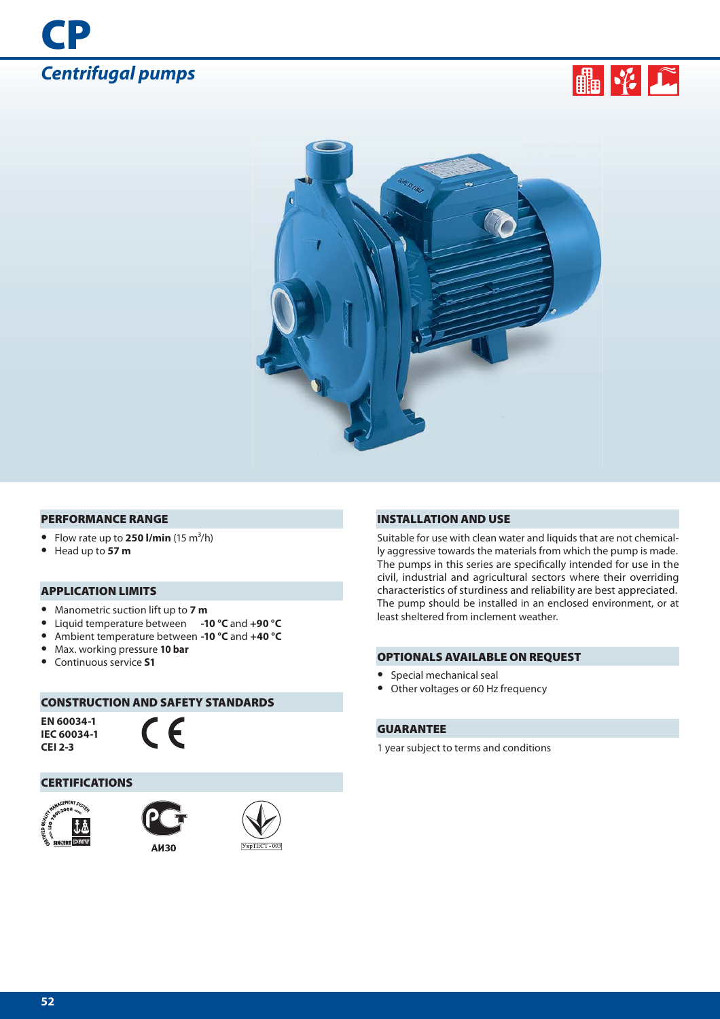





#### **PERFORMANCE RANGE**

- Flow rate up to **250 l/min**  $(15 \text{ m}^3/\text{h})$
- **•** Head up to **57 m**

## **APPLICATION LIMITS**

- **•** Manometric suction lift up to **7 m**
- **•** Liquid temperature between **-10 °C** and **+90 °C**
- **•** Ambient temperature between **-10 °C** and **+40 °C**
- **•** Max. working pressure **10 bar**
- **•** Continuous service **S1**

## **CONSTRUCTION AND SAFETY STANDARDS**

**EN 60034-1 IEC 60034-1 CEI 2-3**



#### **CERTIFICATIONS**







#### **INSTALLATION AND USE**

Suitable for use with clean water and liquids that are not chemically aggressive towards the materials from which the pump is made. The pumps in this series are specifically intended for use in the civil, industrial and agricultural sectors where their overriding characteristics of sturdiness and reliability are best appreciated. The pump should be installed in an enclosed environment, or at least sheltered from inclement weather.

#### **OPTIONALS AVAILABLE ON REQUEST**

- **•** Special mechanical seal
- **•** Other voltages or 60 Hz frequency

## **GUARANTEE**

1 year subject to terms and conditions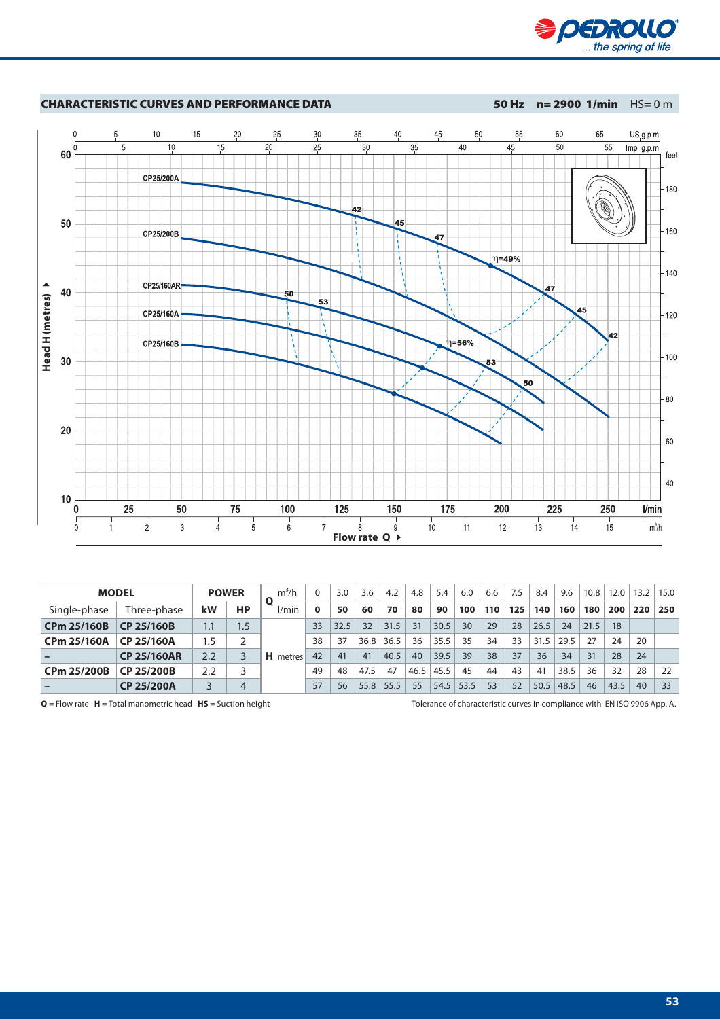



|                    | <b>MODEL</b>       |     | <b>POWER</b> | $m^3/h$      |          | 3.0  | 3.6  | 4.2  | 4.8  | 5.4  | 6.0  | 6.6 | 7.5 | 8.4  | 9.6  | 10.8 | 12.0 |     | $13.2$   15.0 |
|--------------------|--------------------|-----|--------------|--------------|----------|------|------|------|------|------|------|-----|-----|------|------|------|------|-----|---------------|
| Single-phase       | Three-phase        | kW  | HP           | l/min        | $\Omega$ | 50   | 60   | 70   | 80   | 90   | 100  | 110 | 125 | 140  | 160  | 180  | 200  | 220 | 250           |
| <b>CPm 25/160B</b> | CP 25/160B         | 1.1 | 1.5          | н.<br>metres | 33       | 32.5 | 32   | 31.5 | 31   | 30.5 | 30   | 29  | 28  | 26.5 | 24   | 21.5 | 18   |     |               |
| <b>CPm 25/160A</b> | CP 25/160A         | 5.، |              |              | 38       | 37   | 36.8 | 36.5 | 36   | 35.5 | 35   | 34  | 33  | 31.5 | 29.5 | 27   | 24   | 20  |               |
|                    | <b>CP 25/160AR</b> | 2.2 |              |              | 42       | 41   | 41   | 40.5 | 40   | 39.5 | 39   | 38  | 37  | 36   | 34   | 31   | 28   | 24  |               |
| CPm 25/200B        | CP 25/200B         | 2.2 |              |              | 49       | 48   | 47.5 | 47   | 46.5 | 45.5 | 45   | 44  | 43  | 41   | 38.5 | 36   | 32   | 28  | 22            |
|                    | CP 25/200A         |     | 4            |              | 57       | 56   | 55.8 | 55.5 | 55   | 54.5 | 53.5 | 53  | 52  | 50.5 | 48.5 | 46   | 43.5 | 40  | 33            |

**Q** = Flow rate **H** = Total manometric head **HS** = Suction height Tolerance of characteristic curves in compliance with EN ISO 9906 App. A.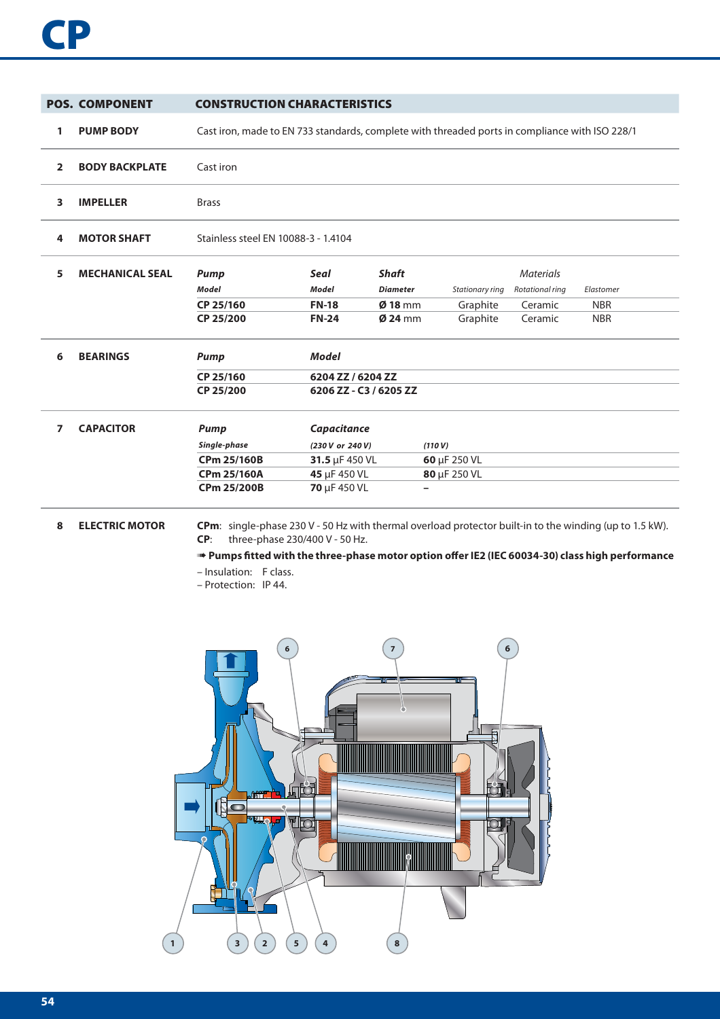|                | <b>POS. COMPONENT</b>  | <b>CONSTRUCTION CHARACTERISTICS</b>                                                            |                                     |                 |                 |                  |            |  |  |  |  |
|----------------|------------------------|------------------------------------------------------------------------------------------------|-------------------------------------|-----------------|-----------------|------------------|------------|--|--|--|--|
| 1              | <b>PUMP BODY</b>       | Cast iron, made to EN 733 standards, complete with threaded ports in compliance with ISO 228/1 |                                     |                 |                 |                  |            |  |  |  |  |
| $\overline{2}$ | <b>BODY BACKPLATE</b>  | Cast iron                                                                                      |                                     |                 |                 |                  |            |  |  |  |  |
| 3              | <b>IMPELLER</b>        | <b>Brass</b>                                                                                   |                                     |                 |                 |                  |            |  |  |  |  |
| 4              | <b>MOTOR SHAFT</b>     |                                                                                                | Stainless steel EN 10088-3 - 1.4104 |                 |                 |                  |            |  |  |  |  |
| 5              | <b>MECHANICAL SEAL</b> | <b>Pump</b>                                                                                    | Seal                                | <b>Shaft</b>    |                 | <b>Materials</b> |            |  |  |  |  |
|                |                        | <b>Model</b>                                                                                   | <b>Model</b>                        | <b>Diameter</b> | Stationary ring | Rotational ring  | Elastomer  |  |  |  |  |
|                |                        | CP 25/160                                                                                      | <b>FN-18</b>                        | $Ø$ 18 mm       | Graphite        | Ceramic          | <b>NBR</b> |  |  |  |  |
|                |                        | CP 25/200                                                                                      | <b>FN-24</b>                        | $Ø$ 24 mm       | Graphite        | Ceramic          | <b>NBR</b> |  |  |  |  |
| 6              | <b>BEARINGS</b>        | <b>Pump</b>                                                                                    | <b>Model</b>                        |                 |                 |                  |            |  |  |  |  |
|                |                        | CP 25/160                                                                                      | 6204 ZZ / 6204 ZZ                   |                 |                 |                  |            |  |  |  |  |
|                |                        | CP 25/200                                                                                      | 6206 ZZ - C3 / 6205 ZZ              |                 |                 |                  |            |  |  |  |  |
| 7              | <b>CAPACITOR</b>       | <b>Pump</b>                                                                                    | Capacitance                         |                 |                 |                  |            |  |  |  |  |
|                |                        | Single-phase                                                                                   | (230 V or 240 V)                    |                 | (110 V)         |                  |            |  |  |  |  |
|                |                        | <b>CPm 25/160B</b>                                                                             | 31.5 $\mu$ F 450 VL                 |                 | 60 µF 250 VL    |                  |            |  |  |  |  |
|                |                        | <b>CPm 25/160A</b>                                                                             | 45 µF 450 VL                        |                 | 80 µF 250 VL    |                  |            |  |  |  |  |
|                |                        | <b>CPm 25/200B</b>                                                                             | 70 µF 450 VL                        |                 | —               |                  |            |  |  |  |  |
|                |                        |                                                                                                |                                     |                 |                 |                  |            |  |  |  |  |

## **8 ELECTRIC MOTOR CPm**: single-phase 230 V - 50 Hz with thermal overload protector built-in to the winding (up to 1.5 kW).<br>**CP**: three-phase 230/400 V - 50 Hz. **CP**: three-phase 230/400 V - 50 Hz.

➠ **Pumps fi tted with the three-phase motor option off er IE2 (IEC 60034-30) class high performance**

- Insulation: F class.
- Protection: IP 44.